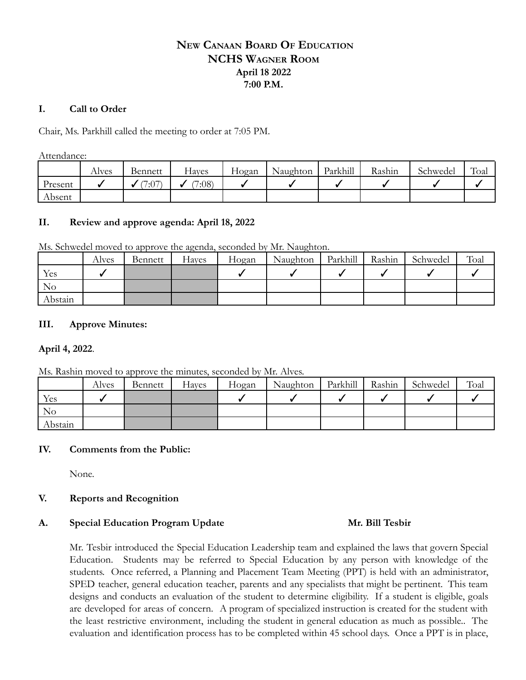# **NEW CANAAN BOARD OF EDUCATION NCHS WAGNER ROOM April 18 2022 7:00 P.M.**

### **I. Call to Order**

Chair, Ms. Parkhill called the meeting to order at 7:05 PM.

Attendance:

|         | Alves | Bennett | -laves | Hogan | Naughton | Parkhill | Rashin | Schwedel | Toal |
|---------|-------|---------|--------|-------|----------|----------|--------|----------|------|
| Present |       | (7:07)  | 7:08   |       |          |          |        |          |      |
| Absent  |       |         |        |       |          |          |        |          |      |

## **II. Review and approve agenda: April 18, 2022**

Ms. Schwedel moved to approve the agenda, seconded by Mr. Naughton.

|          | Alves | Bennett | Hayes | Hogan | Naughton | Parkhill | Rashin | Schwedel | Toal |
|----------|-------|---------|-------|-------|----------|----------|--------|----------|------|
| Yes      |       |         |       |       |          |          |        |          |      |
| $\rm No$ |       |         |       |       |          |          |        |          |      |
| Abstain  |       |         |       |       |          |          |        |          |      |

## **III. Approve Minutes:**

## **April 4, 2022**.

Ms. Rashin moved to approve the minutes, seconded by Mr. Alves.

|         | Alves | Bennett | Hayes | Hogan | Naughton | Parkhill | Rashin | Schwedel | Toal |
|---------|-------|---------|-------|-------|----------|----------|--------|----------|------|
| Yes     |       |         |       |       |          |          |        |          |      |
| No      |       |         |       |       |          |          |        |          |      |
| Abstain |       |         |       |       |          |          |        |          |      |

## **IV. Comments from the Public:**

None.

## **V. Reports and Recognition**

### A. Special Education Program Update **Mr. Bill Tesbir**

Mr. Tesbir introduced the Special Education Leadership team and explained the laws that govern Special Education. Students may be referred to Special Education by any person with knowledge of the students. Once referred, a Planning and Placement Team Meeting (PPT) is held with an administrator, SPED teacher, general education teacher, parents and any specialists that might be pertinent. This team designs and conducts an evaluation of the student to determine eligibility. If a student is eligible, goals are developed for areas of concern. A program of specialized instruction is created for the student with the least restrictive environment, including the student in general education as much as possible.. The evaluation and identification process has to be completed within 45 school days. Once a PPT is in place,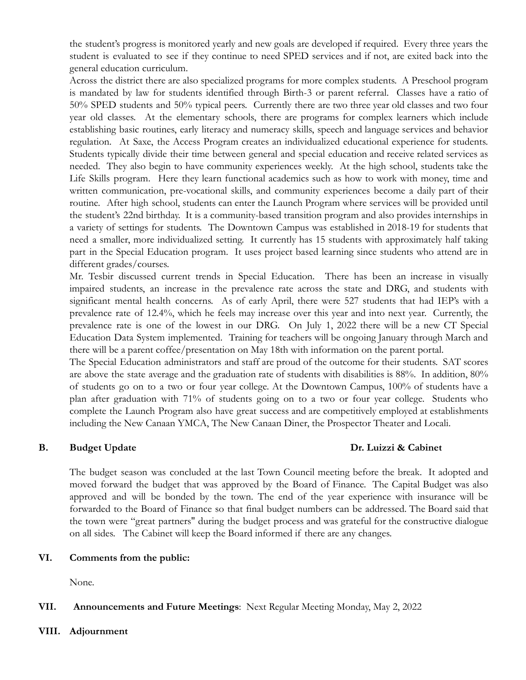the student's progress is monitored yearly and new goals are developed if required. Every three years the student is evaluated to see if they continue to need SPED services and if not, are exited back into the general education curriculum.

Across the district there are also specialized programs for more complex students. A Preschool program is mandated by law for students identified through Birth-3 or parent referral. Classes have a ratio of 50% SPED students and 50% typical peers. Currently there are two three year old classes and two four year old classes. At the elementary schools, there are programs for complex learners which include establishing basic routines, early literacy and numeracy skills, speech and language services and behavior regulation. At Saxe, the Access Program creates an individualized educational experience for students. Students typically divide their time between general and special education and receive related services as needed. They also begin to have community experiences weekly. At the high school, students take the Life Skills program. Here they learn functional academics such as how to work with money, time and written communication, pre-vocational skills, and community experiences become a daily part of their routine. After high school, students can enter the Launch Program where services will be provided until the student's 22nd birthday. It is a community-based transition program and also provides internships in a variety of settings for students. The Downtown Campus was established in 2018-19 for students that need a smaller, more individualized setting. It currently has 15 students with approximately half taking part in the Special Education program. It uses project based learning since students who attend are in different grades/courses.

Mr. Tesbir discussed current trends in Special Education. There has been an increase in visually impaired students, an increase in the prevalence rate across the state and DRG, and students with significant mental health concerns. As of early April, there were 527 students that had IEP's with a prevalence rate of 12.4%, which he feels may increase over this year and into next year. Currently, the prevalence rate is one of the lowest in our DRG. On July 1, 2022 there will be a new CT Special Education Data System implemented. Training for teachers will be ongoing January through March and there will be a parent coffee/presentation on May 18th with information on the parent portal.

The Special Education administrators and staff are proud of the outcome for their students. SAT scores are above the state average and the graduation rate of students with disabilities is 88%. In addition, 80% of students go on to a two or four year college. At the Downtown Campus, 100% of students have a plan after graduation with 71% of students going on to a two or four year college. Students who complete the Launch Program also have great success and are competitively employed at establishments including the New Canaan YMCA, The New Canaan Diner, the Prospector Theater and Locali.

## **B. Budget Update Dr. Luizzi & Cabinet**

The budget season was concluded at the last Town Council meeting before the break. It adopted and moved forward the budget that was approved by the Board of Finance. The Capital Budget was also approved and will be bonded by the town. The end of the year experience with insurance will be forwarded to the Board of Finance so that final budget numbers can be addressed. The Board said that the town were "great partners'' during the budget process and was grateful for the constructive dialogue on all sides. The Cabinet will keep the Board informed if there are any changes.

## **VI. Comments from the public:**

None.

## **VII. Announcements and Future Meetings**: Next Regular Meeting Monday, May 2, 2022

**VIII. Adjournment**